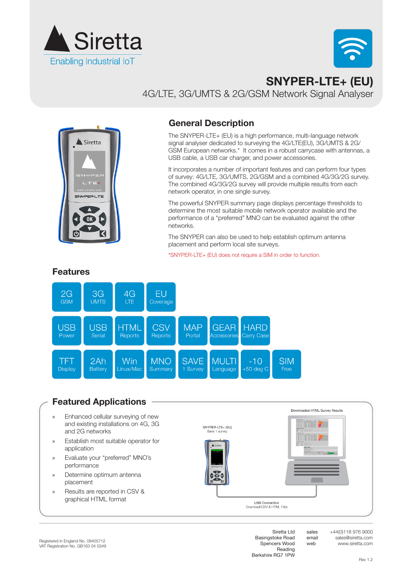



# **SNYPER-LTE+ (EU)**  4G/LTE, 3G/UMTS & 2G/GSM Network Signal Analyser



## **General Description**

The SNYPER-LTE+ (EU) is a high performance, multi-language network signal analyser dedicated to surveying the 4G/LTE(EU), 3G/UMTS & 2G/ GSM European networks.\* It comes in a robust carrycase with antennas, a USB cable, a USB car charger, and power accessories.

It incorporates a number of important features and can perform four types of survey: 4G/LTE, 3G/UMTS, 2G/GSM and a combined 4G/3G/2G survey. The combined 4G/3G/2G survey will provide multiple results from each network operator, in one single survey.

The powerful SNYPER summary page displays percentage thresholds to determine the most suitable mobile network operator available and the performance of a "preferred" MNO can be evaluated against the other networks.

The SNYPER can also be used to help establish optimum antenna placement and perform local site surveys.

\*SNYPER-LTE+ (EU) does not require a SIM in order to function.



### **Features**

# **Featured Applications**

- » Enhanced cellular surveying of new and existing installations on 4G, 3G and 2G networks
- » Establish most suitable operator for application
- » Evaluate your "preferred" MNO's performance
- » Determine optimum antenna placement
- » Results are reported in CSV & graphical HTML format





sales email web

Siretta Ltd Basingstoke Road Spencers Wood Reading Berkshire RG7 1PW

Dou

+44(0)118 976 9000 sales@siretta.com www.siretta.com